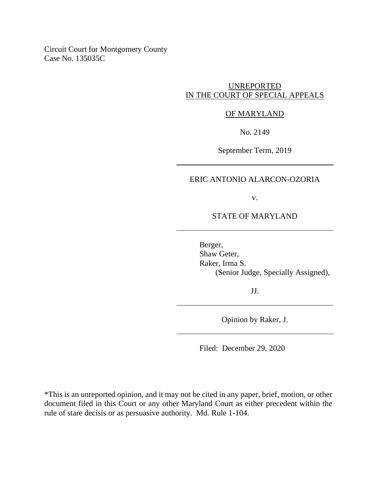Circuit Court for Montgomery County Case No. 135035C

# UNREPORTED IN THE COURT OF SPECIAL APPEALS

## OF MARYLAND

No. 2149

September Term, 2019

## ERIC ANTONIO ALARCON-OZORIA

v.

STATE OF MARYLAND

Berger, Shaw Geter, Raker, Irma S. (Senior Judge, Specially Assigned),

JJ.

Opinion by Raker, J.

Filed: December 29, 2020

\*This is an unreported opinion, and it may not be cited in any paper, brief, motion, or other document filed in this Court or any other Maryland Court as either precedent within the rule of stare decisis or as persuasive authority. Md. Rule 1-104.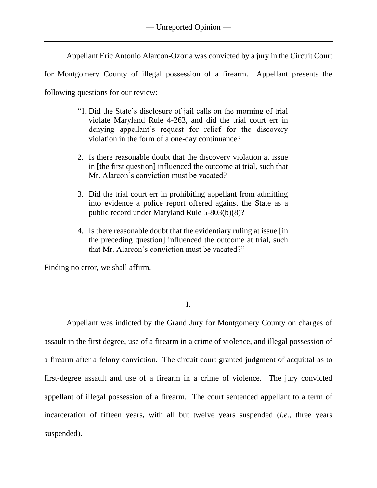Appellant Eric Antonio Alarcon-Ozoria was convicted by a jury in the Circuit Court

for Montgomery County of illegal possession of a firearm. Appellant presents the

following questions for our review:

- "1. Did the State's disclosure of jail calls on the morning of trial violate Maryland Rule 4-263, and did the trial court err in denying appellant's request for relief for the discovery violation in the form of a one-day continuance?
- 2. Is there reasonable doubt that the discovery violation at issue in [the first question] influenced the outcome at trial, such that Mr. Alarcon's conviction must be vacated?
- 3. Did the trial court err in prohibiting appellant from admitting into evidence a police report offered against the State as a public record under Maryland Rule 5-803(b)(8)?
- 4. Is there reasonable doubt that the evidentiary ruling at issue [in the preceding question] influenced the outcome at trial, such that Mr. Alarcon's conviction must be vacated?"

Finding no error, we shall affirm.

I.

Appellant was indicted by the Grand Jury for Montgomery County on charges of assault in the first degree, use of a firearm in a crime of violence, and illegal possession of a firearm after a felony conviction. The circuit court granted judgment of acquittal as to first-degree assault and use of a firearm in a crime of violence. The jury convicted appellant of illegal possession of a firearm. The court sentenced appellant to a term of incarceration of fifteen years**,** with all but twelve years suspended (*i.e.*, three years suspended).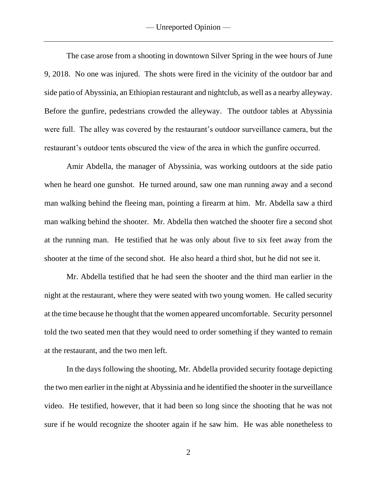The case arose from a shooting in downtown Silver Spring in the wee hours of June 9, 2018. No one was injured. The shots were fired in the vicinity of the outdoor bar and side patio of Abyssinia, an Ethiopian restaurant and nightclub, as well as a nearby alleyway. Before the gunfire, pedestrians crowded the alleyway. The outdoor tables at Abyssinia were full. The alley was covered by the restaurant's outdoor surveillance camera, but the restaurant's outdoor tents obscured the view of the area in which the gunfire occurred.

Amir Abdella, the manager of Abyssinia, was working outdoors at the side patio when he heard one gunshot. He turned around, saw one man running away and a second man walking behind the fleeing man, pointing a firearm at him. Mr. Abdella saw a third man walking behind the shooter. Mr. Abdella then watched the shooter fire a second shot at the running man. He testified that he was only about five to six feet away from the shooter at the time of the second shot. He also heard a third shot, but he did not see it.

Mr. Abdella testified that he had seen the shooter and the third man earlier in the night at the restaurant, where they were seated with two young women. He called security at the time because he thought that the women appeared uncomfortable. Security personnel told the two seated men that they would need to order something if they wanted to remain at the restaurant, and the two men left.

In the days following the shooting, Mr. Abdella provided security footage depicting the two men earlier in the night at Abyssinia and he identified the shooter in the surveillance video. He testified, however, that it had been so long since the shooting that he was not sure if he would recognize the shooter again if he saw him. He was able nonetheless to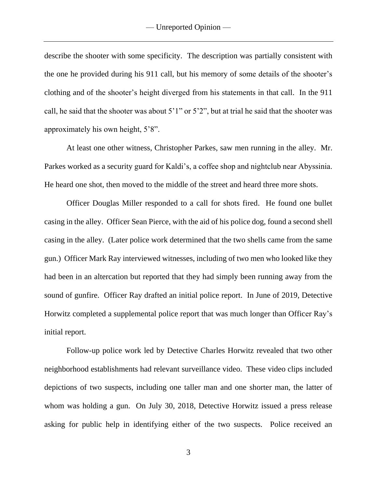describe the shooter with some specificity. The description was partially consistent with the one he provided during his 911 call, but his memory of some details of the shooter's clothing and of the shooter's height diverged from his statements in that call. In the 911 call, he said that the shooter was about 5'1" or 5'2", but at trial he said that the shooter was approximately his own height, 5'8".

At least one other witness, Christopher Parkes, saw men running in the alley. Mr. Parkes worked as a security guard for Kaldi's, a coffee shop and nightclub near Abyssinia. He heard one shot, then moved to the middle of the street and heard three more shots.

Officer Douglas Miller responded to a call for shots fired. He found one bullet casing in the alley. Officer Sean Pierce, with the aid of his police dog, found a second shell casing in the alley. (Later police work determined that the two shells came from the same gun.) Officer Mark Ray interviewed witnesses, including of two men who looked like they had been in an altercation but reported that they had simply been running away from the sound of gunfire. Officer Ray drafted an initial police report. In June of 2019, Detective Horwitz completed a supplemental police report that was much longer than Officer Ray's initial report.

Follow-up police work led by Detective Charles Horwitz revealed that two other neighborhood establishments had relevant surveillance video. These video clips included depictions of two suspects, including one taller man and one shorter man, the latter of whom was holding a gun. On July 30, 2018, Detective Horwitz issued a press release asking for public help in identifying either of the two suspects. Police received an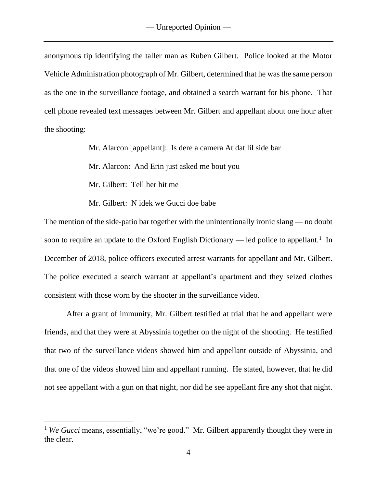anonymous tip identifying the taller man as Ruben Gilbert. Police looked at the Motor Vehicle Administration photograph of Mr. Gilbert, determined that he was the same person as the one in the surveillance footage, and obtained a search warrant for his phone. That cell phone revealed text messages between Mr. Gilbert and appellant about one hour after the shooting:

> Mr. Alarcon [appellant]: Is dere a camera At dat lil side bar Mr. Alarcon: And Erin just asked me bout you Mr. Gilbert: Tell her hit me Mr. Gilbert: N idek we Gucci doe babe

The mention of the side-patio bar together with the unintentionally ironic slang — no doubt soon to require an update to the Oxford English Dictionary — led police to appellant.<sup>1</sup> In December of 2018, police officers executed arrest warrants for appellant and Mr. Gilbert. The police executed a search warrant at appellant's apartment and they seized clothes consistent with those worn by the shooter in the surveillance video.

After a grant of immunity, Mr. Gilbert testified at trial that he and appellant were friends, and that they were at Abyssinia together on the night of the shooting. He testified that two of the surveillance videos showed him and appellant outside of Abyssinia, and that one of the videos showed him and appellant running. He stated, however, that he did not see appellant with a gun on that night, nor did he see appellant fire any shot that night.

<sup>&</sup>lt;sup>1</sup> *We Gucci* means, essentially, "we're good." Mr. Gilbert apparently thought they were in the clear.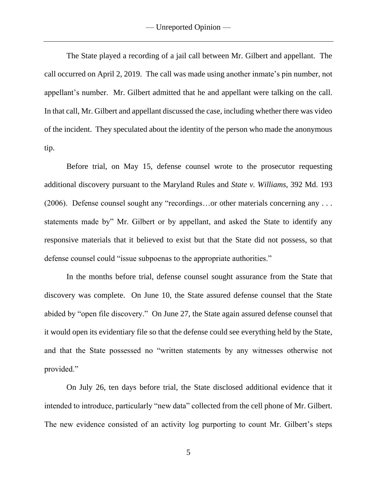The State played a recording of a jail call between Mr. Gilbert and appellant. The call occurred on April 2, 2019. The call was made using another inmate's pin number, not appellant's number. Mr. Gilbert admitted that he and appellant were talking on the call. In that call, Mr. Gilbert and appellant discussed the case, including whether there was video of the incident. They speculated about the identity of the person who made the anonymous tip.

Before trial, on May 15, defense counsel wrote to the prosecutor requesting additional discovery pursuant to the Maryland Rules and *State v. Williams*, 392 Md. 193 (2006). Defense counsel sought any "recordings…or other materials concerning any . . . statements made by" Mr. Gilbert or by appellant, and asked the State to identify any responsive materials that it believed to exist but that the State did not possess, so that defense counsel could "issue subpoenas to the appropriate authorities."

In the months before trial, defense counsel sought assurance from the State that discovery was complete. On June 10, the State assured defense counsel that the State abided by "open file discovery." On June 27, the State again assured defense counsel that it would open its evidentiary file so that the defense could see everything held by the State, and that the State possessed no "written statements by any witnesses otherwise not provided."

On July 26, ten days before trial, the State disclosed additional evidence that it intended to introduce, particularly "new data" collected from the cell phone of Mr. Gilbert. The new evidence consisted of an activity log purporting to count Mr. Gilbert's steps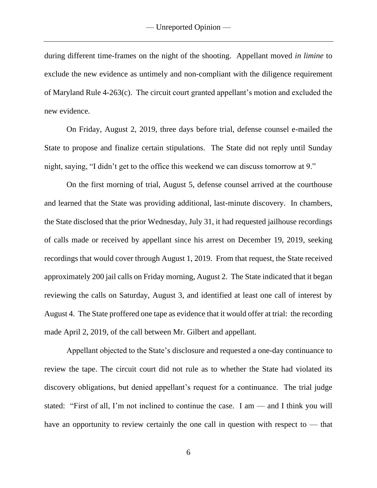during different time-frames on the night of the shooting. Appellant moved *in limine* to exclude the new evidence as untimely and non-compliant with the diligence requirement of Maryland Rule 4-263(c). The circuit court granted appellant's motion and excluded the new evidence.

On Friday, August 2, 2019, three days before trial, defense counsel e-mailed the State to propose and finalize certain stipulations. The State did not reply until Sunday night, saying, "I didn't get to the office this weekend we can discuss tomorrow at 9."

On the first morning of trial, August 5, defense counsel arrived at the courthouse and learned that the State was providing additional, last-minute discovery. In chambers, the State disclosed that the prior Wednesday, July 31, it had requested jailhouse recordings of calls made or received by appellant since his arrest on December 19, 2019, seeking recordings that would cover through August 1, 2019. From that request, the State received approximately 200 jail calls on Friday morning, August 2. The State indicated that it began reviewing the calls on Saturday, August 3, and identified at least one call of interest by August 4. The State proffered one tape as evidence that it would offer at trial: the recording made April 2, 2019, of the call between Mr. Gilbert and appellant.

Appellant objected to the State's disclosure and requested a one-day continuance to review the tape. The circuit court did not rule as to whether the State had violated its discovery obligations, but denied appellant's request for a continuance. The trial judge stated: "First of all, I'm not inclined to continue the case. I am — and I think you will have an opportunity to review certainly the one call in question with respect to — that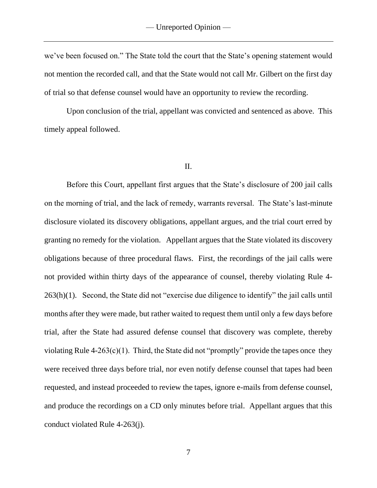we've been focused on." The State told the court that the State's opening statement would not mention the recorded call, and that the State would not call Mr. Gilbert on the first day of trial so that defense counsel would have an opportunity to review the recording.

Upon conclusion of the trial, appellant was convicted and sentenced as above. This timely appeal followed.

### II.

Before this Court, appellant first argues that the State's disclosure of 200 jail calls on the morning of trial, and the lack of remedy, warrants reversal. The State's last-minute disclosure violated its discovery obligations, appellant argues, and the trial court erred by granting no remedy for the violation. Appellant argues that the State violated its discovery obligations because of three procedural flaws. First, the recordings of the jail calls were not provided within thirty days of the appearance of counsel, thereby violating Rule 4- 263(h)(1). Second, the State did not "exercise due diligence to identify" the jail calls until months after they were made, but rather waited to request them until only a few days before trial, after the State had assured defense counsel that discovery was complete, thereby violating Rule  $4-263(c)(1)$ . Third, the State did not "promptly" provide the tapes once they were received three days before trial, nor even notify defense counsel that tapes had been requested, and instead proceeded to review the tapes, ignore e-mails from defense counsel, and produce the recordings on a CD only minutes before trial. Appellant argues that this conduct violated Rule 4-263(j).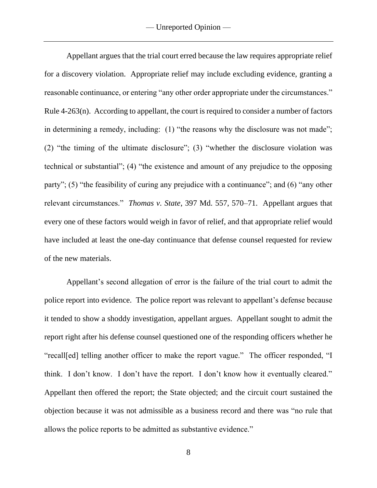Appellant argues that the trial court erred because the law requires appropriate relief for a discovery violation. Appropriate relief may include excluding evidence, granting a reasonable continuance, or entering "any other order appropriate under the circumstances." Rule 4-263(n). According to appellant, the court is required to consider a number of factors in determining a remedy, including: (1) "the reasons why the disclosure was not made"; (2) "the timing of the ultimate disclosure"; (3) "whether the disclosure violation was technical or substantial"; (4) "the existence and amount of any prejudice to the opposing party"; (5) "the feasibility of curing any prejudice with a continuance"; and (6) "any other relevant circumstances." *Thomas v. State*, 397 Md. 557, 570–71. Appellant argues that every one of these factors would weigh in favor of relief, and that appropriate relief would have included at least the one-day continuance that defense counsel requested for review of the new materials.

Appellant's second allegation of error is the failure of the trial court to admit the police report into evidence. The police report was relevant to appellant's defense because it tended to show a shoddy investigation, appellant argues. Appellant sought to admit the report right after his defense counsel questioned one of the responding officers whether he "recall[ed] telling another officer to make the report vague." The officer responded, "I think. I don't know. I don't have the report. I don't know how it eventually cleared." Appellant then offered the report; the State objected; and the circuit court sustained the objection because it was not admissible as a business record and there was "no rule that allows the police reports to be admitted as substantive evidence."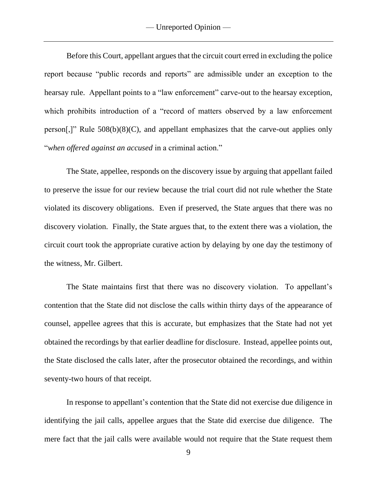Before this Court, appellant argues that the circuit court erred in excluding the police report because "public records and reports" are admissible under an exception to the hearsay rule. Appellant points to a "law enforcement" carve-out to the hearsay exception, which prohibits introduction of a "record of matters observed by a law enforcement person[,]" Rule 508(b)(8)(C), and appellant emphasizes that the carve-out applies only "*when offered against an accused* in a criminal action."

The State, appellee, responds on the discovery issue by arguing that appellant failed to preserve the issue for our review because the trial court did not rule whether the State violated its discovery obligations. Even if preserved, the State argues that there was no discovery violation. Finally, the State argues that, to the extent there was a violation, the circuit court took the appropriate curative action by delaying by one day the testimony of the witness, Mr. Gilbert.

The State maintains first that there was no discovery violation. To appellant's contention that the State did not disclose the calls within thirty days of the appearance of counsel, appellee agrees that this is accurate, but emphasizes that the State had not yet obtained the recordings by that earlier deadline for disclosure. Instead, appellee points out, the State disclosed the calls later, after the prosecutor obtained the recordings, and within seventy-two hours of that receipt.

In response to appellant's contention that the State did not exercise due diligence in identifying the jail calls, appellee argues that the State did exercise due diligence. The mere fact that the jail calls were available would not require that the State request them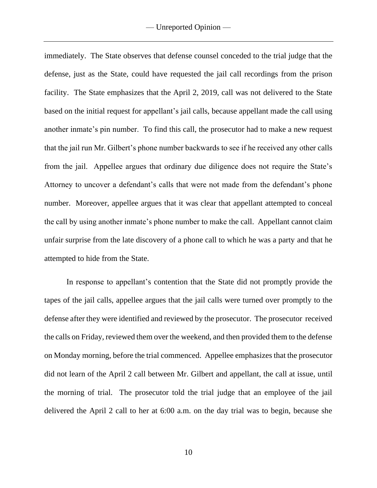immediately. The State observes that defense counsel conceded to the trial judge that the defense, just as the State, could have requested the jail call recordings from the prison facility. The State emphasizes that the April 2, 2019, call was not delivered to the State based on the initial request for appellant's jail calls, because appellant made the call using another inmate's pin number. To find this call, the prosecutor had to make a new request that the jail run Mr. Gilbert's phone number backwards to see if he received any other calls from the jail. Appellee argues that ordinary due diligence does not require the State's Attorney to uncover a defendant's calls that were not made from the defendant's phone number. Moreover, appellee argues that it was clear that appellant attempted to conceal the call by using another inmate's phone number to make the call. Appellant cannot claim unfair surprise from the late discovery of a phone call to which he was a party and that he attempted to hide from the State.

In response to appellant's contention that the State did not promptly provide the tapes of the jail calls, appellee argues that the jail calls were turned over promptly to the defense after they were identified and reviewed by the prosecutor. The prosecutor received the calls on Friday, reviewed them over the weekend, and then provided them to the defense on Monday morning, before the trial commenced. Appellee emphasizes that the prosecutor did not learn of the April 2 call between Mr. Gilbert and appellant, the call at issue, until the morning of trial. The prosecutor told the trial judge that an employee of the jail delivered the April 2 call to her at 6:00 a.m. on the day trial was to begin, because she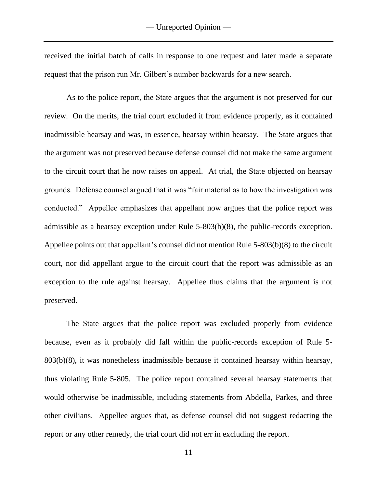received the initial batch of calls in response to one request and later made a separate request that the prison run Mr. Gilbert's number backwards for a new search.

As to the police report, the State argues that the argument is not preserved for our review. On the merits, the trial court excluded it from evidence properly, as it contained inadmissible hearsay and was, in essence, hearsay within hearsay. The State argues that the argument was not preserved because defense counsel did not make the same argument to the circuit court that he now raises on appeal. At trial, the State objected on hearsay grounds. Defense counsel argued that it was "fair material as to how the investigation was conducted." Appellee emphasizes that appellant now argues that the police report was admissible as a hearsay exception under Rule 5-803(b)(8), the public-records exception. Appellee points out that appellant's counsel did not mention Rule 5-803(b)(8) to the circuit court, nor did appellant argue to the circuit court that the report was admissible as an exception to the rule against hearsay. Appellee thus claims that the argument is not preserved.

The State argues that the police report was excluded properly from evidence because, even as it probably did fall within the public-records exception of Rule 5- 803(b)(8), it was nonetheless inadmissible because it contained hearsay within hearsay, thus violating Rule 5-805. The police report contained several hearsay statements that would otherwise be inadmissible, including statements from Abdella, Parkes, and three other civilians. Appellee argues that, as defense counsel did not suggest redacting the report or any other remedy, the trial court did not err in excluding the report.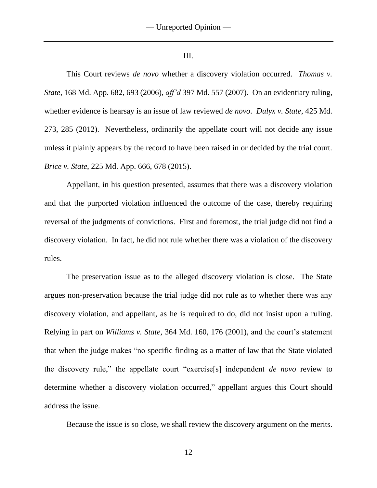III.

This Court reviews *de novo* whether a discovery violation occurred. *Thomas v. State*, 168 Md. App. 682, 693 (2006), *aff'd* 397 Md. 557 (2007). On an evidentiary ruling, whether evidence is hearsay is an issue of law reviewed *de novo*. *Dulyx v. State*, 425 Md. 273, 285 (2012). Nevertheless, ordinarily the appellate court will not decide any issue unless it plainly appears by the record to have been raised in or decided by the trial court. *Brice v. State*, 225 Md. App. 666, 678 (2015).

Appellant, in his question presented, assumes that there was a discovery violation and that the purported violation influenced the outcome of the case, thereby requiring reversal of the judgments of convictions. First and foremost, the trial judge did not find a discovery violation. In fact, he did not rule whether there was a violation of the discovery rules.

The preservation issue as to the alleged discovery violation is close. The State argues non-preservation because the trial judge did not rule as to whether there was any discovery violation, and appellant, as he is required to do, did not insist upon a ruling. Relying in part on *Williams v. State*, 364 Md. 160, 176 (2001), and the court's statement that when the judge makes "no specific finding as a matter of law that the State violated the discovery rule," the appellate court "exercise[s] independent *de novo* review to determine whether a discovery violation occurred," appellant argues this Court should address the issue.

Because the issue is so close, we shall review the discovery argument on the merits.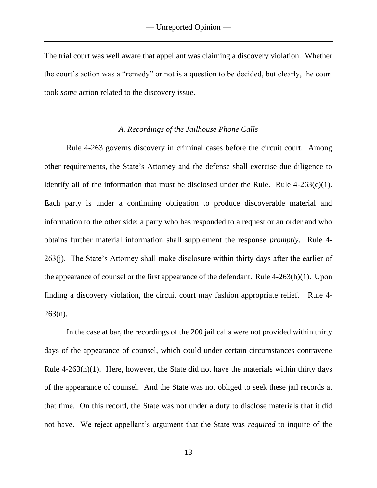The trial court was well aware that appellant was claiming a discovery violation. Whether the court's action was a "remedy" or not is a question to be decided, but clearly, the court took *some* action related to the discovery issue.

### *A. Recordings of the Jailhouse Phone Calls*

Rule 4-263 governs discovery in criminal cases before the circuit court. Among other requirements, the State's Attorney and the defense shall exercise due diligence to identify all of the information that must be disclosed under the Rule. Rule  $4-263(c)(1)$ . Each party is under a continuing obligation to produce discoverable material and information to the other side; a party who has responded to a request or an order and who obtains further material information shall supplement the response *promptly*. Rule 4- 263(j). The State's Attorney shall make disclosure within thirty days after the earlier of the appearance of counsel or the first appearance of the defendant. Rule 4-263(h)(1). Upon finding a discovery violation, the circuit court may fashion appropriate relief. Rule 4-  $263(n)$ .

In the case at bar, the recordings of the 200 jail calls were not provided within thirty days of the appearance of counsel, which could under certain circumstances contravene Rule 4-263(h)(1). Here, however, the State did not have the materials within thirty days of the appearance of counsel. And the State was not obliged to seek these jail records at that time. On this record, the State was not under a duty to disclose materials that it did not have. We reject appellant's argument that the State was *required* to inquire of the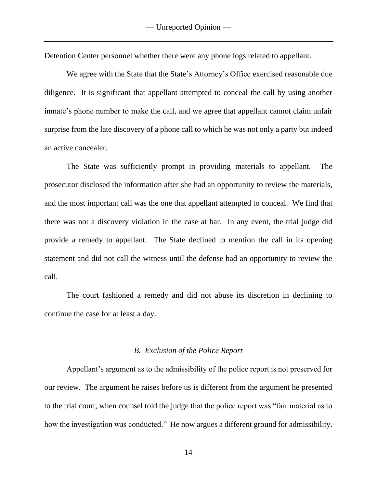Detention Center personnel whether there were any phone logs related to appellant.

We agree with the State that the State's Attorney's Office exercised reasonable due diligence. It is significant that appellant attempted to conceal the call by using another inmate's phone number to make the call, and we agree that appellant cannot claim unfair surprise from the late discovery of a phone call to which he was not only a party but indeed an active concealer.

The State was sufficiently prompt in providing materials to appellant. The prosecutor disclosed the information after she had an opportunity to review the materials, and the most important call was the one that appellant attempted to conceal. We find that there was not a discovery violation in the case at bar. In any event, the trial judge did provide a remedy to appellant. The State declined to mention the call in its opening statement and did not call the witness until the defense had an opportunity to review the call.

The court fashioned a remedy and did not abuse its discretion in declining to continue the case for at least a day.

#### *B. Exclusion of the Police Report*

Appellant's argument as to the admissibility of the police report is not preserved for our review. The argument he raises before us is different from the argument he presented to the trial court, when counsel told the judge that the police report was "fair material as to how the investigation was conducted." He now argues a different ground for admissibility.